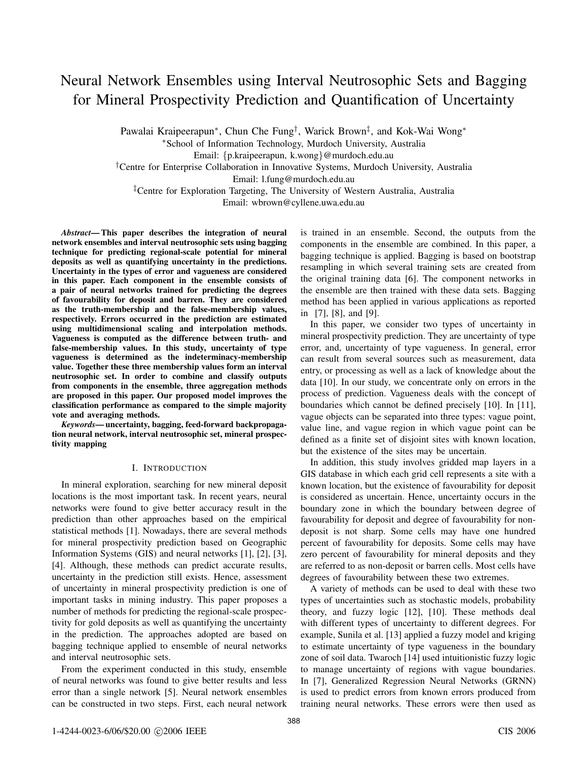# Neural Network Ensembles using Interval Neutrosophic Sets and Bagging for Mineral Prospectivity Prediction and Quantification of Uncertainty

Pawalai Kraipeerapun∗, Chun Che Fung†, Warick Brown‡, and Kok-Wai Wong∗

∗School of Information Technology, Murdoch University, Australia

Email: {p.kraipeerapun, k.wong}@murdoch.edu.au

†Centre for Enterprise Collaboration in Innovative Systems, Murdoch University, Australia

Email: l.fung@murdoch.edu.au

‡Centre for Exploration Targeting, The University of Western Australia, Australia

Email: wbrown@cyllene.uwa.edu.au

*Abstract***— This paper describes the integration of neural network ensembles and interval neutrosophic sets using bagging technique for predicting regional-scale potential for mineral deposits as well as quantifying uncertainty in the predictions. Uncertainty in the types of error and vagueness are considered in this paper. Each component in the ensemble consists of a pair of neural networks trained for predicting the degrees of favourability for deposit and barren. They are considered as the truth-membership and the false-membership values, respectively. Errors occurred in the prediction are estimated using multidimensional scaling and interpolation methods. Vagueness is computed as the difference between truth- and false-membership values. In this study, uncertainty of type vagueness is determined as the indeterminacy-membership value. Together these three membership values form an interval neutrosophic set. In order to combine and classify outputs from components in the ensemble, three aggregation methods are proposed in this paper. Our proposed model improves the classification performance as compared to the simple majority vote and averaging methods.**

*Keywords***— uncertainty, bagging, feed-forward backpropagation neural network, interval neutrosophic set, mineral prospectivity mapping**

## I. INTRODUCTION

In mineral exploration, searching for new mineral deposit locations is the most important task. In recent years, neural networks were found to give better accuracy result in the prediction than other approaches based on the empirical statistical methods [1]. Nowadays, there are several methods for mineral prospectivity prediction based on Geographic Information Systems (GIS) and neural networks [1], [2], [3], [4]. Although, these methods can predict accurate results, uncertainty in the prediction still exists. Hence, assessment of uncertainty in mineral prospectivity prediction is one of important tasks in mining industry. This paper proposes a number of methods for predicting the regional-scale prospectivity for gold deposits as well as quantifying the uncertainty in the prediction. The approaches adopted are based on bagging technique applied to ensemble of neural networks and interval neutrosophic sets.

From the experiment conducted in this study, ensemble of neural networks was found to give better results and less error than a single network [5]. Neural network ensembles can be constructed in two steps. First, each neural network is trained in an ensemble. Second, the outputs from the components in the ensemble are combined. In this paper, a bagging technique is applied. Bagging is based on bootstrap resampling in which several training sets are created from the original training data [6]. The component networks in the ensemble are then trained with these data sets. Bagging method has been applied in various applications as reported in [7], [8], and [9].

In this paper, we consider two types of uncertainty in mineral prospectivity prediction. They are uncertainty of type error, and, uncertainty of type vagueness. In general, error can result from several sources such as measurement, data entry, or processing as well as a lack of knowledge about the data [10]. In our study, we concentrate only on errors in the process of prediction. Vagueness deals with the concept of boundaries which cannot be defined precisely [10]. In [11], vague objects can be separated into three types: vague point, value line, and vague region in which vague point can be defined as a finite set of disjoint sites with known location, but the existence of the sites may be uncertain.

In addition, this study involves gridded map layers in a GIS database in which each grid cell represents a site with a known location, but the existence of favourability for deposit is considered as uncertain. Hence, uncertainty occurs in the boundary zone in which the boundary between degree of favourability for deposit and degree of favourability for nondeposit is not sharp. Some cells may have one hundred percent of favourability for deposits. Some cells may have zero percent of favourability for mineral deposits and they are referred to as non-deposit or barren cells. Most cells have degrees of favourability between these two extremes.

A variety of methods can be used to deal with these two types of uncertainties such as stochastic models, probability theory, and fuzzy logic [12], [10]. These methods deal with different types of uncertainty to different degrees. For example, Sunila et al. [13] applied a fuzzy model and kriging to estimate uncertainty of type vagueness in the boundary zone of soil data. Twaroch [14] used intuitionistic fuzzy logic to manage uncertainty of regions with vague boundaries. In [7], Generalized Regression Neural Networks (GRNN) is used to predict errors from known errors produced from training neural networks. These errors were then used as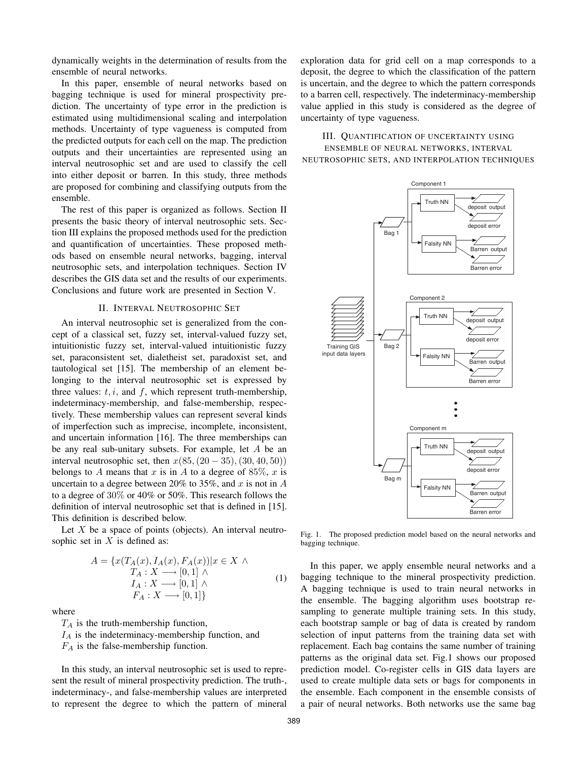dynamically weights in the determination of results from the ensemble of neural networks.

In this paper, ensemble of neural networks based on bagging technique is used for mineral prospectivity prediction. The uncertainty of type error in the prediction is estimated using multidimensional scaling and interpolation methods. Uncertainty of type vagueness is computed from the predicted outputs for each cell on the map. The prediction outputs and their uncertainties are represented using an interval neutrosophic set and are used to classify the cell into either deposit or barren. In this study, three methods are proposed for combining and classifying outputs from the ensemble.

The rest of this paper is organized as follows. Section II presents the basic theory of interval neutrosophic sets. Section III explains the proposed methods used for the prediction and quantification of uncertainties. These proposed methods based on ensemble neural networks, bagging, interval neutrosophic sets, and interpolation techniques. Section IV describes the GIS data set and the results of our experiments. Conclusions and future work are presented in Section V.

# II. INTERVAL NEUTROSOPHIC SET

An interval neutrosophic set is generalized from the concept of a classical set, fuzzy set, interval-valued fuzzy set, intuitionistic fuzzy set, interval-valued intuitionistic fuzzy set, paraconsistent set, dialetheist set, paradoxist set, and tautological set [15]. The membership of an element belonging to the interval neutrosophic set is expressed by three values: *t, i,* and *f*, which represent truth-membership, indeterminacy-membership, and false-membership, respectively. These membership values can represent several kinds of imperfection such as imprecise, incomplete, inconsistent, and uncertain information [16]. The three memberships can be any real sub-unitary subsets. For example, let *A* be an interval neutrosophic set, then  $x(85, (20 - 35), (30, 40, 50))$ belongs to *A* means that *x* is in *A* to a degree of 85%, *x* is uncertain to a degree between 20% to 35%, and *x* is not in *A* to a degree of 30% or 40% or 50%. This research follows the definition of interval neutrosophic set that is defined in [15]. This definition is described below.

Let *X* be a space of points (objects). An interval neutrosophic set in *X* is defined as:

$$
A = \{x(T_A(x), I_A(x), F_A(x)) | x \in X \land T_A: X \longrightarrow [0, 1] \land I_A: X \longrightarrow [0, 1] \land F_A: X \longrightarrow [0, 1] \}
$$
\n
$$
(1)
$$

where

*<sup>T</sup>A* is the truth-membership function,

*<sup>I</sup>A* is the indeterminacy-membership function, and

*<sup>F</sup>A* is the false-membership function.

In this study, an interval neutrosophic set is used to represent the result of mineral prospectivity prediction. The truth-, indeterminacy-, and false-membership values are interpreted to represent the degree to which the pattern of mineral exploration data for grid cell on a map corresponds to a deposit, the degree to which the classification of the pattern is uncertain, and the degree to which the pattern corresponds to a barren cell, respectively. The indeterminacy-membership value applied in this study is considered as the degree of uncertainty of type vagueness.

# III. QUANTIFICATION OF UNCERTAINTY USING ENSEMBLE OF NEURAL NETWORKS, INTERVAL NEUTROSOPHIC SETS, AND INTERPOLATION TECHNIQUES



Fig. 1. The proposed prediction model based on the neural networks and bagging technique.

In this paper, we apply ensemble neural networks and a bagging technique to the mineral prospectivity prediction. A bagging technique is used to train neural networks in the ensemble. The bagging algorithm uses bootstrap resampling to generate multiple training sets. In this study, each bootstrap sample or bag of data is created by random selection of input patterns from the training data set with replacement. Each bag contains the same number of training patterns as the original data set. Fig.1 shows our proposed prediction model. Co-register cells in GIS data layers are used to create multiple data sets or bags for components in the ensemble. Each component in the ensemble consists of a pair of neural networks. Both networks use the same bag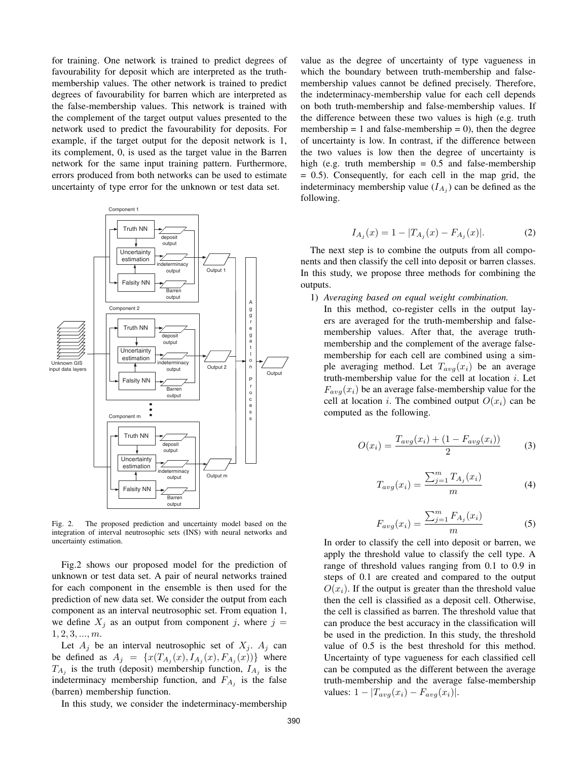for training. One network is trained to predict degrees of favourability for deposit which are interpreted as the truthmembership values. The other network is trained to predict degrees of favourability for barren which are interpreted as the false-membership values. This network is trained with the complement of the target output values presented to the network used to predict the favourability for deposits. For example, if the target output for the deposit network is 1, its complement, 0, is used as the target value in the Barren network for the same input training pattern. Furthermore, errors produced from both networks can be used to estimate uncertainty of type error for the unknown or test data set.



Fig. 2. The proposed prediction and uncertainty model based on the integration of interval neutrosophic sets (INS) with neural networks and uncertainty estimation.

Fig.2 shows our proposed model for the prediction of unknown or test data set. A pair of neural networks trained for each component in the ensemble is then used for the prediction of new data set. We consider the output from each component as an interval neutrosophic set. From equation 1, we define  $X_j$  as an output from component *j*, where  $j =$ 1*,* 2*,* 3*, ..., m*.

Let  $A_i$  be an interval neutrosophic set of  $X_i$ .  $A_i$  can be defined as  $A_j = \{x(T_{A_j}(x), I_{A_j}(x), F_{A_j}(x))\}$  where  $T_{A_i}$  is the truth (deposit) membership function,  $I_{A_j}$  is the indeterminacy membership function, and  $F_{A_i}$  is the false (barren) membership function.

In this study, we consider the indeterminacy-membership

value as the degree of uncertainty of type vagueness in which the boundary between truth-membership and falsemembership values cannot be defined precisely. Therefore, the indeterminacy-membership value for each cell depends on both truth-membership and false-membership values. If the difference between these two values is high (e.g. truth membership  $= 1$  and false-membership  $= 0$ ), then the degree of uncertainty is low. In contrast, if the difference between the two values is low then the degree of uncertainty is high (e.g. truth membership  $= 0.5$  and false-membership = 0.5). Consequently, for each cell in the map grid, the indeterminacy membership value  $(I_{A_i})$  can be defined as the following.

$$
I_{A_j}(x) = 1 - |T_{A_j}(x) - F_{A_j}(x)|.
$$
 (2)

The next step is to combine the outputs from all components and then classify the cell into deposit or barren classes. In this study, we propose three methods for combining the outputs.

1) *Averaging based on equal weight combination.*

In this method, co-register cells in the output layers are averaged for the truth-membership and falsemembership values. After that, the average truthmembership and the complement of the average falsemembership for each cell are combined using a simple averaging method. Let  $T_{avg}(x_i)$  be an average truth-membership value for the cell at location *i*. Let  $F_{avg}(x_i)$  be an average false-membership value for the cell at location *i*. The combined output  $O(x_i)$  can be computed as the following.

$$
O(x_i) = \frac{T_{avg}(x_i) + (1 - F_{avg}(x_i))}{2}
$$
 (3)

$$
T_{avg}(x_i) = \frac{\sum_{j=1}^{m} T_{A_j}(x_i)}{m} \tag{4}
$$

$$
F_{avg}(x_i) = \frac{\sum_{j=1}^{m} F_{A_j}(x_i)}{m} \tag{5}
$$

In order to classify the cell into deposit or barren, we apply the threshold value to classify the cell type. A range of threshold values ranging from 0.1 to 0.9 in steps of 0.1 are created and compared to the output  $O(x_i)$ . If the output is greater than the threshold value then the cell is classified as a deposit cell. Otherwise, the cell is classified as barren. The threshold value that can produce the best accuracy in the classification will be used in the prediction. In this study, the threshold value of 0.5 is the best threshold for this method. Uncertainty of type vagueness for each classified cell can be computed as the different between the average truth-membership and the average false-membership values:  $1 - |T_{avg}(x_i) - F_{avg}(x_i)|$ .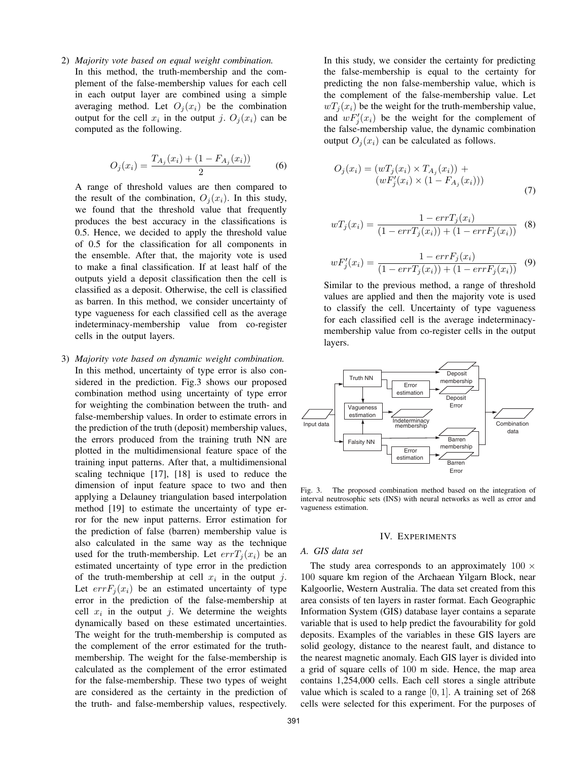## 2) *Majority vote based on equal weight combination.*

In this method, the truth-membership and the complement of the false-membership values for each cell in each output layer are combined using a simple averaging method. Let  $O_j(x_i)$  be the combination output for the cell  $x_i$  in the output *j*.  $O_i(x_i)$  can be computed as the following.

$$
O_j(x_i) = \frac{T_{A_j}(x_i) + (1 - F_{A_j}(x_i))}{2} \tag{6}
$$

A range of threshold values are then compared to the result of the combination,  $O_i(x_i)$ . In this study, we found that the threshold value that frequently produces the best accuracy in the classifications is 0.5. Hence, we decided to apply the threshold value of 0.5 for the classification for all components in the ensemble. After that, the majority vote is used to make a final classification. If at least half of the outputs yield a deposit classification then the cell is classified as a deposit. Otherwise, the cell is classified as barren. In this method, we consider uncertainty of type vagueness for each classified cell as the average indeterminacy-membership value from co-register cells in the output layers.

3) *Majority vote based on dynamic weight combination.* In this method, uncertainty of type error is also considered in the prediction. Fig.3 shows our proposed combination method using uncertainty of type error for weighting the combination between the truth- and false-membership values. In order to estimate errors in the prediction of the truth (deposit) membership values, the errors produced from the training truth NN are plotted in the multidimensional feature space of the training input patterns. After that, a multidimensional scaling technique [17], [18] is used to reduce the dimension of input feature space to two and then applying a Delauney triangulation based interpolation method [19] to estimate the uncertainty of type error for the new input patterns. Error estimation for the prediction of false (barren) membership value is also calculated in the same way as the technique used for the truth-membership. Let  $errT_i(x_i)$  be an estimated uncertainty of type error in the prediction of the truth-membership at cell  $x_i$  in the output *j*. Let  $errF_i(x_i)$  be an estimated uncertainty of type error in the prediction of the false-membership at cell  $x_i$  in the output  $j$ . We determine the weights dynamically based on these estimated uncertainties. The weight for the truth-membership is computed as the complement of the error estimated for the truthmembership. The weight for the false-membership is calculated as the complement of the error estimated for the false-membership. These two types of weight are considered as the certainty in the prediction of the truth- and false-membership values, respectively.

In this study, we consider the certainty for predicting the false-membership is equal to the certainty for predicting the non false-membership value, which is the complement of the false-membership value. Let  $wT_i(x_i)$  be the weight for the truth-membership value, and  $wF'_{j}(x_{i})$  be the weight for the complement of<br>the false membership value the dynamic combination the false-membership value, the dynamic combination output  $O_i(x_i)$  can be calculated as follows.

$$
O_j(x_i) = (wT_j(x_i) \times T_{A_j}(x_i)) + (wF'_j(x_i) \times (1 - F_{A_j}(x_i)))
$$
\n(7)

$$
wT_j(x_i) = \frac{1 - errT_j(x_i)}{(1 - errT_j(x_i)) + (1 - errF_j(x_i))}
$$
 (8)

$$
wF'_{j}(x_{i}) = \frac{1 - errF_{j}(x_{i})}{(1 - errT_{j}(x_{i})) + (1 - errF_{j}(x_{i}))}
$$
(9)

Similar to the previous method, a range of threshold values are applied and then the majority vote is used to classify the cell. Uncertainty of type vagueness for each classified cell is the average indeterminacymembership value from co-register cells in the output layers.



Fig. 3. The proposed combination method based on the integration of interval neutrosophic sets (INS) with neural networks as well as error and vagueness estimation.

#### IV. EXPERIMENTS

# *A. GIS data set*

The study area corresponds to an approximately  $100 \times$ 100 square km region of the Archaean Yilgarn Block, near Kalgoorlie, Western Australia. The data set created from this area consists of ten layers in raster format. Each Geographic Information System (GIS) database layer contains a separate variable that is used to help predict the favourability for gold deposits. Examples of the variables in these GIS layers are solid geology, distance to the nearest fault, and distance to the nearest magnetic anomaly. Each GIS layer is divided into a grid of square cells of 100 m side. Hence, the map area contains 1,254,000 cells. Each cell stores a single attribute value which is scaled to a range [0*,* 1]. A training set of 268 cells were selected for this experiment. For the purposes of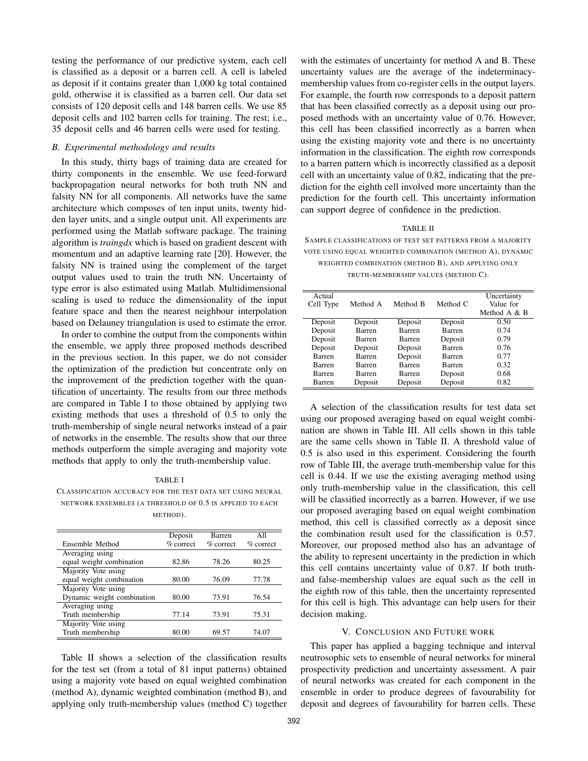testing the performance of our predictive system, each cell is classified as a deposit or a barren cell. A cell is labeled as deposit if it contains greater than 1,000 kg total contained gold, otherwise it is classified as a barren cell. Our data set consists of 120 deposit cells and 148 barren cells. We use 85 deposit cells and 102 barren cells for training. The rest; i.e., 35 deposit cells and 46 barren cells were used for testing.

# *B. Experimental methodology and results*

In this study, thirty bags of training data are created for thirty components in the ensemble. We use feed-forward backpropagation neural networks for both truth NN and falsity NN for all components. All networks have the same architecture which composes of ten input units, twenty hidden layer units, and a single output unit. All experiments are performed using the Matlab software package. The training algorithm is *traingdx* which is based on gradient descent with momentum and an adaptive learning rate [20]. However, the falsity NN is trained using the complement of the target output values used to train the truth NN. Uncertainty of type error is also estimated using Matlab. Multidimensional scaling is used to reduce the dimensionality of the input feature space and then the nearest neighbour interpolation based on Delauney triangulation is used to estimate the error.

In order to combine the output from the components within the ensemble, we apply three proposed methods described in the previous section. In this paper, we do not consider the optimization of the prediction but concentrate only on the improvement of the prediction together with the quantification of uncertainty. The results from our three methods are compared in Table I to those obtained by applying two existing methods that uses a threshold of 0.5 to only the truth-membership of single neural networks instead of a pair of networks in the ensemble. The results show that our three methods outperform the simple averaging and majority vote methods that apply to only the truth-membership value.

## TABLE I

CLASSIFICATION ACCURACY FOR THE TEST DATA SET USING NEURAL NETWORK ENSEMBLES (A THRESHOLD OF 0.5 IS APPLIED TO EACH METHOD).

|                            | Deposit   | <b>Barren</b> | A11         |
|----------------------------|-----------|---------------|-------------|
| Ensemble Method            | % correct | $\%$ correct  | $%$ correct |
| Averaging using            |           |               |             |
| equal weight combination   | 82.86     | 78.26         | 80.25       |
| Majority Vote using        |           |               |             |
| equal weight combination   | 80.00     | 76.09         | 77.78       |
| Majority Vote using        |           |               |             |
| Dynamic weight combination | 80.00     | 73.91         | 76.54       |
| Averaging using            |           |               |             |
| Truth membership           | 77.14     | 73.91         | 75.31       |
| Majority Vote using        |           |               |             |
| Truth membership           | 80.00     | 69.57         | 74.07       |

Table II shows a selection of the classification results for the test set (from a total of 81 input patterns) obtained using a majority vote based on equal weighted combination (method A), dynamic weighted combination (method B), and applying only truth-membership values (method C) together with the estimates of uncertainty for method A and B. These uncertainty values are the average of the indeterminacymembership values from co-register cells in the output layers. For example, the fourth row corresponds to a deposit pattern that has been classified correctly as a deposit using our proposed methods with an uncertainty value of 0.76. However, this cell has been classified incorrectly as a barren when using the existing majority vote and there is no uncertainty information in the classification. The eighth row corresponds to a barren pattern which is incorrectly classified as a deposit cell with an uncertainty value of 0.82, indicating that the prediction for the eighth cell involved more uncertainty than the prediction for the fourth cell. This uncertainty information can support degree of confidence in the prediction.

#### TABLE II

SAMPLE CLASSIFICATIONS OF TEST SET PATTERNS FROM A MAJORITY VOTE USING EQUAL WEIGHTED COMBINATION (METHOD A), DYNAMIC WEIGHTED COMBINATION (METHOD B), AND APPLYING ONLY TRUTH-MEMBERSHIP VALUES (METHOD C).

| Actual    |               |          |               | Uncertainty    |
|-----------|---------------|----------|---------------|----------------|
| Cell Type | Method A      | Method B | Method C      | Value for      |
|           |               |          |               | Method $A & B$ |
| Deposit   | Deposit       | Deposit  | Deposit       | 0.50           |
| Deposit   | Barren        | Barren   | Barren        | 0.74           |
| Deposit   | <b>Barren</b> | Barren   | Deposit       | 0.79           |
| Deposit   | Deposit       | Deposit  | Barren        | 0.76           |
| Barren    | Barren        | Deposit  | <b>Barren</b> | 0.77           |
| Barren    | Barren        | Barren   | Barren        | 0.32           |
| Barren    | Barren        | Barren   | Deposit       | 0.68           |
| Barren    | Deposit       | Deposit  | Deposit       | 0.82           |

A selection of the classification results for test data set using our proposed averaging based on equal weight combination are shown in Table III. All cells shown in this table are the same cells shown in Table II. A threshold value of 0.5 is also used in this experiment. Considering the fourth row of Table III, the average truth-membership value for this cell is 0.44. If we use the existing averaging method using only truth-membership value in the classification, this cell will be classified incorrectly as a barren. However, if we use our proposed averaging based on equal weight combination method, this cell is classified correctly as a deposit since the combination result used for the classification is 0.57. Moreover, our proposed method also has an advantage of the ability to represent uncertainty in the prediction in which this cell contains uncertainty value of 0.87. If both truthand false-membership values are equal such as the cell in the eighth row of this table, then the uncertainty represented for this cell is high. This advantage can help users for their decision making.

## V. CONCLUSION AND FUTURE WORK

This paper has applied a bagging technique and interval neutrosophic sets to ensemble of neural networks for mineral prospectivity prediction and uncertainty assessment. A pair of neural networks was created for each component in the ensemble in order to produce degrees of favourability for deposit and degrees of favourability for barren cells. These